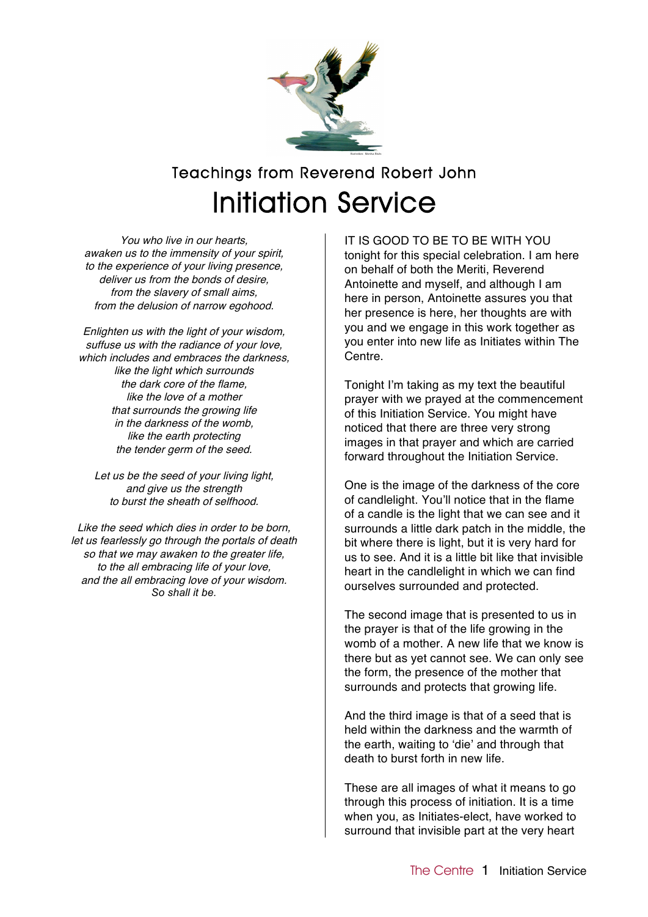

## Teachings from Reverend Robert John Initiation Service

You who live in our hearts, awaken us to the immensity of your spirit, to the experience of your living presence, deliver us from the bonds of desire, from the slavery of small aims, from the delusion of narrow egohood.

Enlighten us with the light of your wisdom, suffuse us with the radiance of your love, which includes and embraces the darkness, like the light which surrounds the dark core of the flame, like the love of a mother that surrounds the growing life in the darkness of the womb, like the earth protecting the tender germ of the seed.

Let us be the seed of your living light, and give us the strength to burst the sheath of selfhood.

Like the seed which dies in order to be born, let us fearlessly go through the portals of death so that we may awaken to the greater life, to the all embracing life of your love, and the all embracing love of your wisdom. *So shall it be.*

IT IS GOOD TO BE TO BE WITH YOU tonight for this special celebration. I am here on behalf of both the Meriti, Reverend Antoinette and myself, and although I am here in person, Antoinette assures you that her presence is here, her thoughts are with you and we engage in this work together as you enter into new life as Initiates within The Centre.

Tonight I'm taking as my text the beautiful prayer with we prayed at the commencement of this Initiation Service. You might have noticed that there are three very strong images in that prayer and which are carried forward throughout the Initiation Service.

One is the image of the darkness of the core of candlelight. You'll notice that in the flame of a candle is the light that we can see and it surrounds a little dark patch in the middle, the bit where there is light, but it is very hard for us to see. And it is a little bit like that invisible heart in the candlelight in which we can find ourselves surrounded and protected.

The second image that is presented to us in the prayer is that of the life growing in the womb of a mother. A new life that we know is there but as yet cannot see. We can only see the form, the presence of the mother that surrounds and protects that growing life.

And the third image is that of a seed that is held within the darkness and the warmth of the earth, waiting to 'die' and through that death to burst forth in new life.

These are all images of what it means to go through this process of initiation. It is a time when you, as Initiates-elect, have worked to surround that invisible part at the very heart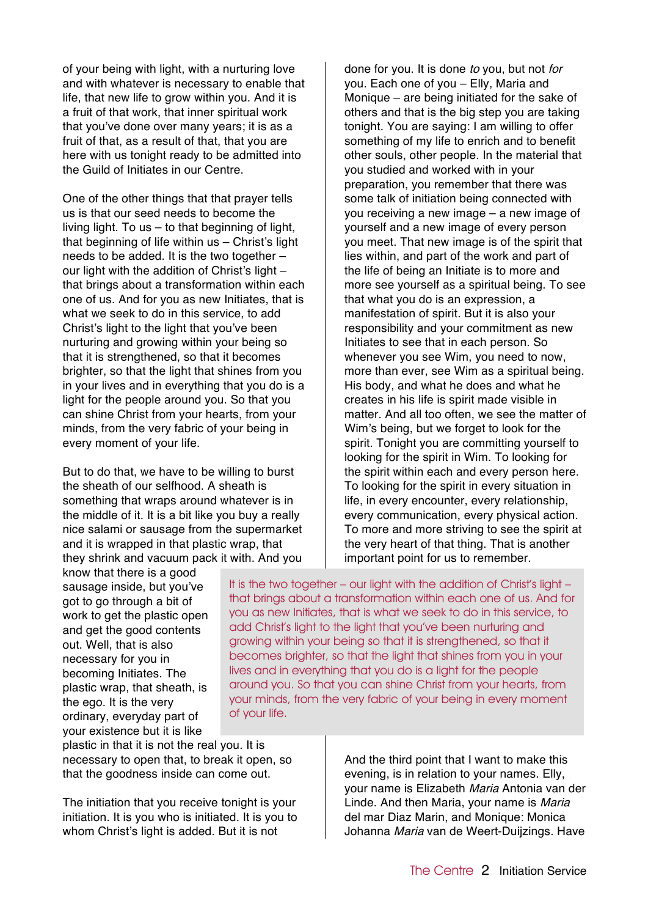of your being with light, with a nurturing love and with whatever is necessary to enable that life, that new life to grow within you. And it is a fruit of that work, that inner spiritual work that you've done over many years; it is as a fruit of that, as a result of that, that you are here with us tonight ready to be admitted into the Guild of Initiates in our Centre.

One of the other things that that prayer tells us is that our seed needs to become the living light. To us – to that beginning of light, that beginning of life within us – Christ's light needs to be added. It is the two together – our light with the addition of Christ's light that brings about a transformation within each one of us. And for you as new Initiates, that is what we seek to do in this service, to add Christ's light to the light that you've been nurturing and growing within your being so that it is strengthened, so that it becomes brighter, so that the light that shines from you in your lives and in everything that you do is a light for the people around you. So that you can shine Christ from your hearts, from your minds, from the very fabric of your being in every moment of your life.

But to do that, we have to be willing to burst the sheath of our selfhood. A sheath is something that wraps around whatever is in the middle of it. It is a bit like you buy a really nice salami or sausage from the supermarket and it is wrapped in that plastic wrap, that they shrink and vacuum pack it with. And you

done for you. It is done to you, but not for you. Each one of you – Elly, Maria and Monique – are being initiated for the sake of others and that is the big step you are taking tonight. You are saying: I am willing to offer something of my life to enrich and to benefit other souls, other people. In the material that you studied and worked with in your preparation, you remember that there was some talk of initiation being connected with you receiving a new image – a new image of yourself and a new image of every person you meet. That new image is of the spirit that lies within, and part of the work and part of the life of being an Initiate is to more and more see yourself as a spiritual being. To see that what you do is an expression, a manifestation of spirit. But it is also your responsibility and your commitment as new Initiates to see that in each person. So whenever you see Wim, you need to now, more than ever, see Wim as a spiritual being. His body, and what he does and what he creates in his life is spirit made visible in matter. And all too often, we see the matter of Wim's being, but we forget to look for the spirit. Tonight you are committing yourself to looking for the spirit in Wim. To looking for the spirit within each and every person here. To looking for the spirit in every situation in life, in every encounter, every relationship, every communication, every physical action. To more and more striving to see the spirit at the very heart of that thing. That is another important point for us to remember.

know that there is a good sausage inside, but you've got to go through a bit of work to get the plastic open and get the good contents out. Well, that is also necessary for you in becoming Initiates. The plastic wrap, that sheath, is the ego. It is the very ordinary, everyday part of your existence but it is like

It is the two together – our light with the addition of Christ's light – that brings about a transformation within each one of us. And for you as new Initiates, that is what we seek to do in this service, to add Christ's light to the light that you've been nurturing and growing within your being so that it is strengthened, so that it becomes brighter, so that the light that shines from you in your lives and in everything that you do is a light for the people around you. So that you can shine Christ from your hearts, from your minds, from the very fabric of your being in every moment of your life.

plastic in that it is not the real you. It is necessary to open that, to break it open, so that the goodness inside can come out.

The initiation that you receive tonight is your initiation. It is you who is initiated. It is you to whom Christ's light is added. But it is not

And the third point that I want to make this evening, is in relation to your names. Elly, your name is Elizabeth Maria Antonia van der Linde. And then Maria, your name is Maria del mar Diaz Marin, and Monique: Monica Johanna Maria van de Weert-Duijzings. Have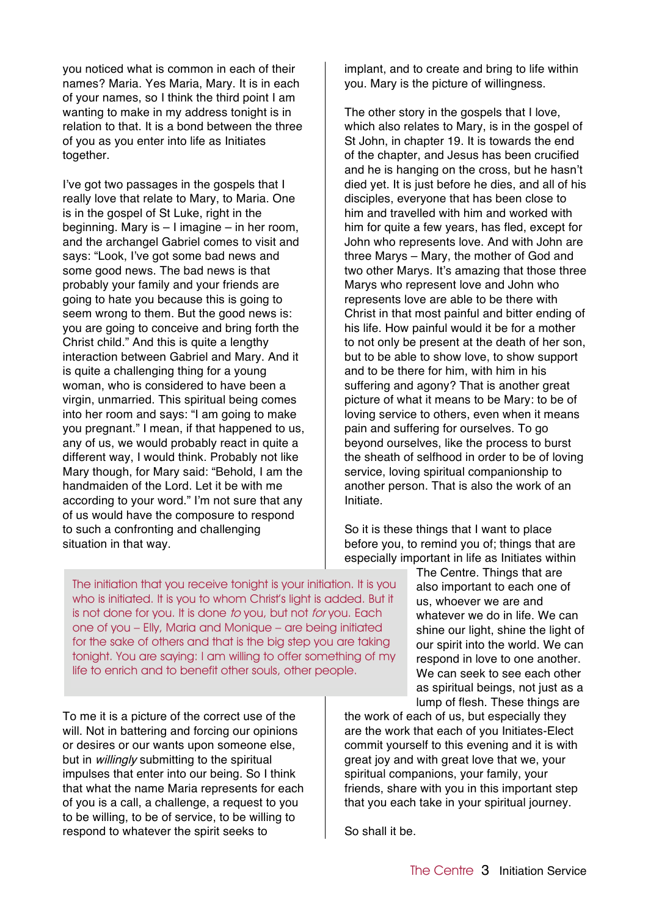you noticed what is common in each of their names? Maria. Yes Maria, Mary. It is in each of your names, so I think the third point I am wanting to make in my address tonight is in relation to that. It is a bond between the three of you as you enter into life as Initiates together.

I've got two passages in the gospels that I really love that relate to Mary, to Maria. One is in the gospel of St Luke, right in the beginning. Mary is – I imagine – in her room, and the archangel Gabriel comes to visit and says: "Look, I've got some bad news and some good news. The bad news is that probably your family and your friends are going to hate you because this is going to seem wrong to them. But the good news is: you are going to conceive and bring forth the Christ child." And this is quite a lengthy interaction between Gabriel and Mary. And it is quite a challenging thing for a young woman, who is considered to have been a virgin, unmarried. This spiritual being comes into her room and says: "I am going to make you pregnant." I mean, if that happened to us, any of us, we would probably react in quite a different way, I would think. Probably not like Mary though, for Mary said: "Behold, I am the handmaiden of the Lord. Let it be with me according to your word." I'm not sure that any of us would have the composure to respond to such a confronting and challenging situation in that way.

implant, and to create and bring to life within you. Mary is the picture of willingness.

The other story in the gospels that I love, which also relates to Mary, is in the gospel of St John, in chapter 19. It is towards the end of the chapter, and Jesus has been crucified and he is hanging on the cross, but he hasn't died yet. It is just before he dies, and all of his disciples, everyone that has been close to him and travelled with him and worked with him for quite a few years, has fled, except for John who represents love. And with John are three Marys – Mary, the mother of God and two other Marys. It's amazing that those three Marys who represent love and John who represents love are able to be there with Christ in that most painful and bitter ending of his life. How painful would it be for a mother to not only be present at the death of her son, but to be able to show love, to show support and to be there for him, with him in his suffering and agony? That is another great picture of what it means to be Mary: to be of loving service to others, even when it means pain and suffering for ourselves. To go beyond ourselves, like the process to burst the sheath of selfhood in order to be of loving service, loving spiritual companionship to another person. That is also the work of an Initiate.

So it is these things that I want to place before you, to remind you of; things that are especially important in life as Initiates within

The initiation that you receive tonight is your initiation. It is you who is initiated. It is you to whom Christ's light is added. But it is not done for you. It is done to you, but not for you. Each one of you – Elly, Maria and Monique – are being initiated for the sake of others and that is the big step you are taking tonight. You are saying: I am willing to offer something of my life to enrich and to benefit other souls, other people.

To me it is a picture of the correct use of the will. Not in battering and forcing our opinions or desires or our wants upon someone else, but in *willingly* submitting to the spiritual impulses that enter into our being. So I think that what the name Maria represents for each of you is a call, a challenge, a request to you to be willing, to be of service, to be willing to respond to whatever the spirit seeks to

The Centre. Things that are also important to each one of us, whoever we are and whatever we do in life. We can shine our light, shine the light of our spirit into the world. We can respond in love to one another. We can seek to see each other as spiritual beings, not just as a lump of flesh. These things are

the work of each of us, but especially they are the work that each of you Initiates-Elect commit yourself to this evening and it is with great joy and with great love that we, your spiritual companions, your family, your friends, share with you in this important step that you each take in your spiritual journey.

So shall it be.